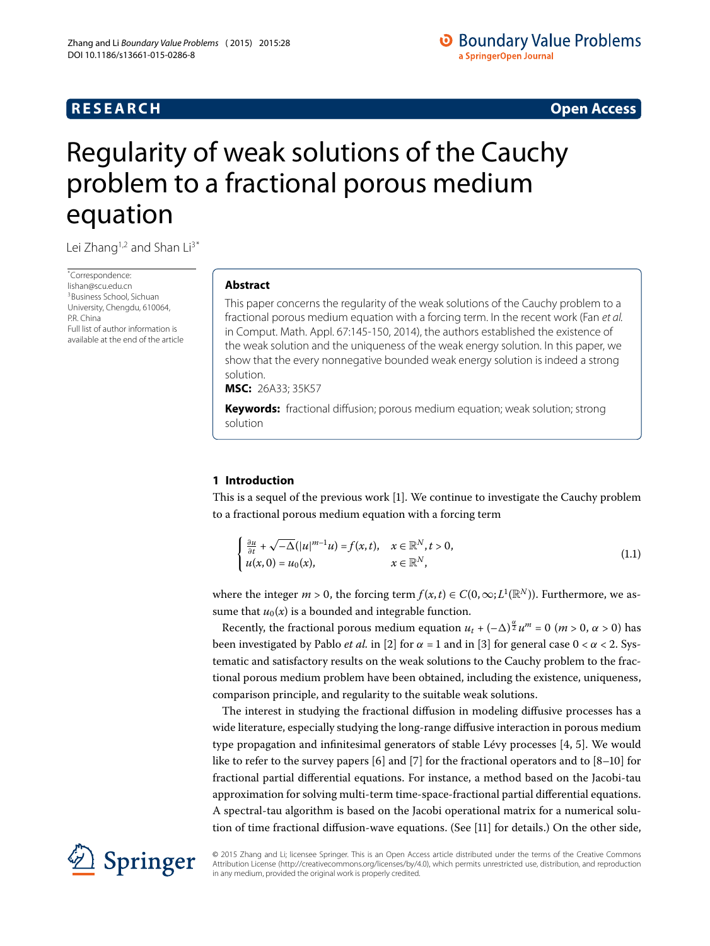# **RESEARCH CONSTRUCTER ACCESS**

# <span id="page-0-0"></span>Regularity of weak solutions of the Cauchy problem to a fractional porous medium equation

Lei Zhang<sup>1,[2](#page-4-1)</sup> and Shan Li<sup>[3](#page-4-2)[\\*](#page-0-0)</sup>

\* Correspondence: [lishan@scu.edu.cn](mailto:lishan@scu.edu.cn) <sup>3</sup>Business School, Sichuan University, Chengdu, 610064, P.R. China Full list of author information is available at the end of the article

# **Abstract**

This paper concerns the regularity of the weak solutions of the Cauchy problem to a fractional porous medium equation with a forcing term. In the recent work (Fan et al. in Comput. Math. Appl. 67:145-150, 2014), the authors established the existence of the weak solution and the uniqueness of the weak energy solution. In this paper, we show that the every nonnegative bounded weak energy solution is indeed a strong solution.

**MSC:** 26A33; 35K57

**Keywords:** fractional diffusion; porous medium equation; weak solution; strong solution

# **1 Introduction**

This is a sequel of the previous work [[\]](#page-5-0). We continue to investigate the Cauchy problem to a fractional porous medium equation with a forcing term

<span id="page-0-1"></span>
$$
\begin{cases} \frac{\partial u}{\partial t} + \sqrt{-\Delta} (|u|^{m-1}u) = f(x,t), & x \in \mathbb{R}^N, t > 0, \\ u(x,0) = u_0(x), & x \in \mathbb{R}^N, \end{cases}
$$
\n(1.1)

where the integer  $m > 0$ , the forcing term  $f(x, t) \in C(0, \infty; L^1(\mathbb{R}^N))$ . Furthermore, we assume that  $u_0(x)$  is a bounded and integrable function.

Recently, the fractional porous medium equation  $u_t + (-\Delta)^{\frac{\alpha}{2}} u^m = 0$  (*m* > 0, *α* > 0) has been investigated by Pablo *et al.* in [2[\]](#page-5-2) for  $\alpha$  = 1 and in [3] for general case  $0 < \alpha < 2$ . Systematic and satisfactory results on the weak solutions to the Cauchy problem to the fractional porous medium problem have been obtained, including the existence, uniqueness, comparison principle, and regularity to the suitable weak solutions.

The interest in studying the fractional diffusion in modeling diffusive processes has a wide literature, especially studying the long-range diffusive interaction in porous medium type propagation and infinitesimal generators of stable Lévy processes  $[4, 5]$ . We would like to refer to the survey papers [\[](#page-5-5)6[\]](#page-5-8) and [7] for the fractional operators and to  $[8-10]$  for fractional partial differential equations. For instance, a method based on the Jacobi-tau approximation for solving multi-term time-space-fractional partial differential equations. A spectral-tau algorithm is based on the Jacobi operational matrix for a numerical solution of time fractional diffusion-wave equations. (See  $[11]$  $[11]$  for details.) On the other side,



© 2015 Zhang and Li; licensee Springer. This is an Open Access article distributed under the terms of the Creative Commons Attribution License (http://creativecommons.org/licenses/by/4.0), which permits unrestricted use, distribution, and reproduction in any medium, provided the original work is properly credited.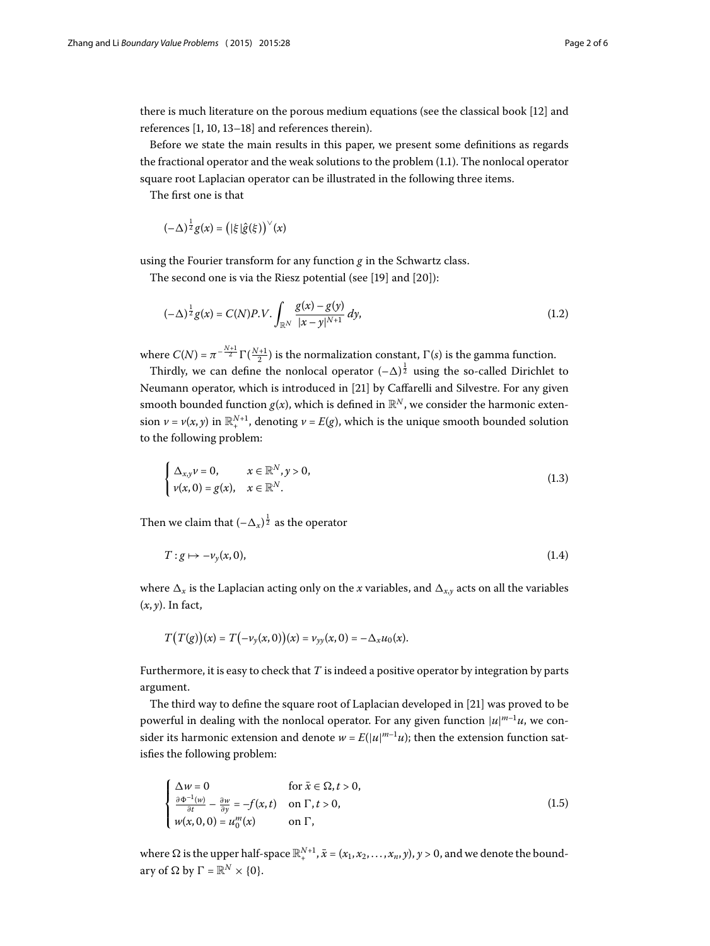there is much literature on the porous medium equations (see the classical book [12] and references  $[1, 10, 13-18]$  $[1, 10, 13-18]$  $[1, 10, 13-18]$  and references therein).

Before we state the main results in this paper, we present some definitions as regards the fractional operator and the weak solutions to the problem  $(1.1)$  $(1.1)$  $(1.1)$ . The nonlocal operator square root Laplacian operator can be illustrated in the following three items.

The first one is that

$$
(-\Delta)^{\frac{1}{2}}g(x) = (|\xi|\hat{g}(\xi))^\vee(x)
$$

using the Fourier transform for any function *g* in the Schwartz class.

The second one is via the Riesz potential (see [\[](#page-5-13)19] and  $[20]$ ):

$$
(-\Delta)^{\frac{1}{2}}g(x) = C(N)P.V. \int_{\mathbb{R}^N} \frac{g(x) - g(y)}{|x - y|^{N+1}} dy,
$$
\n(1.2)

where  $C(N) = \pi^{-\frac{N+1}{2}} \Gamma(\frac{N+1}{2})$  is the normalization constant,  $\Gamma(s)$  is the gamma function.

Thirdly, we can define the nonlocal operator  $(-\Delta)^{\frac{1}{2}}$  using the so-called Dirichlet to Neumann operator, which is introduced in [\[](#page-5-15)21] by Caffarelli and Silvestre. For any given smooth bounded function  $g(x)$ , which is defined in  $\mathbb{R}^N$ , we consider the harmonic extension  $\nu = \nu(x, y)$  in  $\mathbb{R}^{N+1}_+$ , denoting  $\nu = E(g)$ , which is the unique smooth bounded solution to the following problem:

<span id="page-1-1"></span>
$$
\begin{cases} \Delta_{x,y} \nu = 0, & x \in \mathbb{R}^N, y > 0, \\ \nu(x, 0) = g(x), & x \in \mathbb{R}^N. \end{cases}
$$
\n(1.3)

Then we claim that  $(-\Delta_x)^{\frac{1}{2}}$  as the operator

$$
T: g \mapsto -\nu_y(x, 0), \tag{1.4}
$$

where  $\Delta_x$  is the Laplacian acting only on the *x* variables, and  $\Delta_{x,y}$  acts on all the variables (*x*, *y*). In fact,

<span id="page-1-0"></span>
$$
T(T(g))(x) = T(-\nu_{y}(x, 0))(x) = \nu_{yy}(x, 0) = -\Delta_{x}\mu_{0}(x).
$$

Furthermore, it is easy to check that *T* is indeed a positive operator by integration by parts argument.

The third way to define the square root of Laplacian developed in [21] was proved to be powerful in dealing with the nonlocal operator. For any given function |*u*| *<sup>m</sup>*–*u*, we consider its harmonic extension and denote  $w = E(|u|^{m-1}u)$ ; then the extension function satisfies the following problem:

$$
\begin{cases} \Delta w = 0 & \text{for } \bar{x} \in \Omega, t > 0, \\ \frac{\partial \Phi^{-1}(w)}{\partial t} - \frac{\partial w}{\partial y} = -f(x, t) & \text{on } \Gamma, t > 0, \\ w(x, 0, 0) = u_0^m(x) & \text{on } \Gamma, \end{cases}
$$
(1.5)

where  $\Omega$  is the upper half-space  $\mathbb{R}^{N+1}_+$  ,  $\bar{x}=(x_1,x_2,\ldots,x_n,y)$  ,  $y>0$  , and we denote the boundary of  $\Omega$  by  $\Gamma = \mathbb{R}^N \times \{0\}.$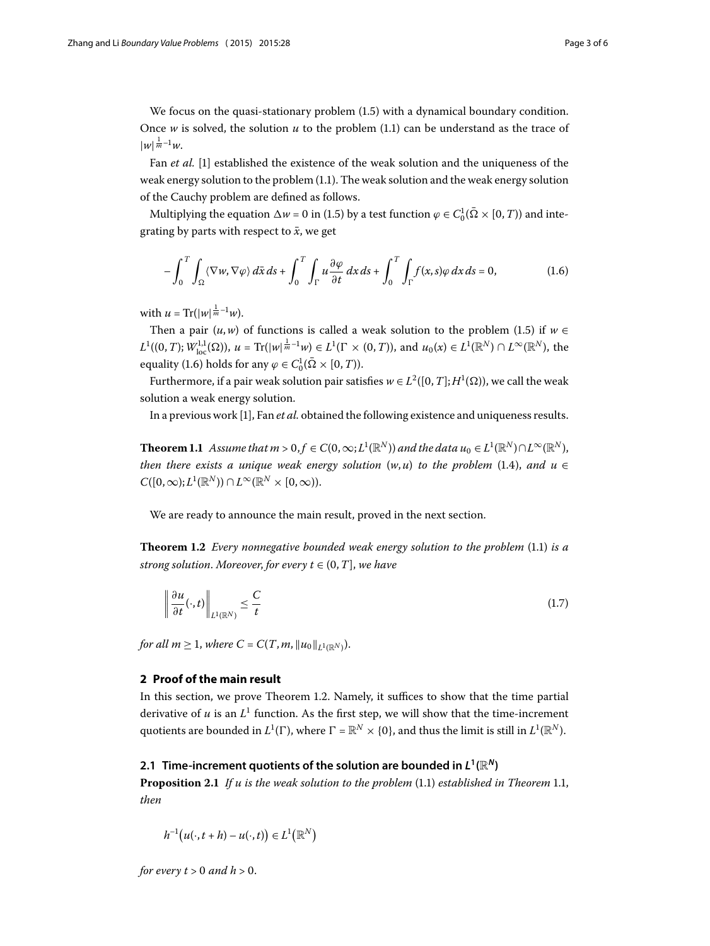We focus on the quasi-stationary problem  $(1.5)$  with a dynamical boundary condition. Once *w* is solved, the solution *u* to the problem  $(1.1)$  can be understand as the trace of  $|w|^{\frac{1}{m}-1}w$ .

Fan *et al.* [1[\]](#page-5-0) established the existence of the weak solution and the uniqueness of the weak energy solution to the problem  $(1.1)$  $(1.1)$  $(1.1)$ . The weak solution and the weak energy solution of the Cauchy problem are defined as follows.

Multiplying the equation  $\Delta w = 0$  in (1.5) by a test function  $\varphi \in C_0^1(\bar{\Omega} \times [0, T))$  and integrating by parts with respect to  $\bar{x}$ , we get

<span id="page-2-0"></span>
$$
-\int_0^T \int_{\Omega} \langle \nabla w, \nabla \varphi \rangle \, d\bar{x} \, ds + \int_0^T \int_{\Gamma} u \frac{\partial \varphi}{\partial t} \, dx \, ds + \int_0^T \int_{\Gamma} f(x, s) \varphi \, dx \, ds = 0, \tag{1.6}
$$

with  $u = \text{Tr}(|w|^{\frac{1}{m}-1}w)$ .

<span id="page-2-2"></span>Then a pair  $(u, w)$  of functions is called a weak solution to the problem (1.5) if  $w \in$  $L^1((0,T); W^{1,1}_{loc}(\Omega))$ ,  $u = \text{Tr}(|w|^{\frac{1}{m}-1}w) \in L^1(\Gamma \times (0,T))$ , and  $u_0(x) \in L^1(\mathbb{R}^N) \cap L^\infty(\mathbb{R}^N)$ , the equality (1[.](#page-2-0)6) holds for any  $\varphi \in C_0^1(\bar{\Omega} \times [0, T)).$ 

Furthermore, if a pair weak solution pair satisfies  $w\in L^2([0,T];H^1(\Omega))$ , we call the weak solution a weak energy solution.

In a previous work [\[](#page-5-0)], Fan *et al.* obtained the following existence and uniqueness results.

<span id="page-2-1"></span>**Theorem 1.1** Assume that  $m > 0, f \in C(0, \infty; L^1(\mathbb{R}^N))$  and the data  $u_0 \in L^1(\mathbb{R}^N) \cap L^\infty(\mathbb{R}^N)$ , *then there exists a unique weak energy solution*  $(w, u)$  *to the problem* (1[.](#page-1-1)4), and  $u \in$  $C([0,\infty); L^1(\mathbb{R}^N)) \cap L^\infty(\mathbb{R}^N \times [0,\infty)).$ 

We are ready to announce the main result, proved in the next section.

**Theorem 1.2** *Every nonnegative bounded weak energy solution to the problem* (1.1) *is a strong solution. Moreover, for every*  $t \in (0, T]$ *, we have* 

<span id="page-2-3"></span>
$$
\left\|\frac{\partial u}{\partial t}(\cdot,t)\right\|_{L^1(\mathbb{R}^N)} \le \frac{C}{t} \tag{1.7}
$$

*for all*  $m \geq 1$ *, where*  $C = C(T, m, ||u_0||_{L^1(\mathbb{R}^N)})$ .

## **2 Proof of the main result**

In this section, we prove Theorem 1.2. Namely, it suffices to show that the time partial derivative of  $u$  is an  $L^1$  function. As the first step, we will show that the time-increment quotients are bounded in  $L^1(\Gamma)$ , where  $\Gamma=\mathbb{R}^N\times\{0\}$ , and thus the limit is still in  $L^1(\mathbb{R}^N).$ 

#### **2.1 Time-increment quotients of the solution are bounded in**  $L^1(\mathbb{R}^N)$

**Proposition 2[.](#page-0-1)1** *If u is the weak solution to the problem*  $(1.1)$  *established in Theorem* 1.1*, then*

$$
h^{-1}(u(\cdot,t+h)-u(\cdot,t))\in L^1(\mathbb{R}^N)
$$

*for every t*  $> 0$  *and h*  $> 0$ .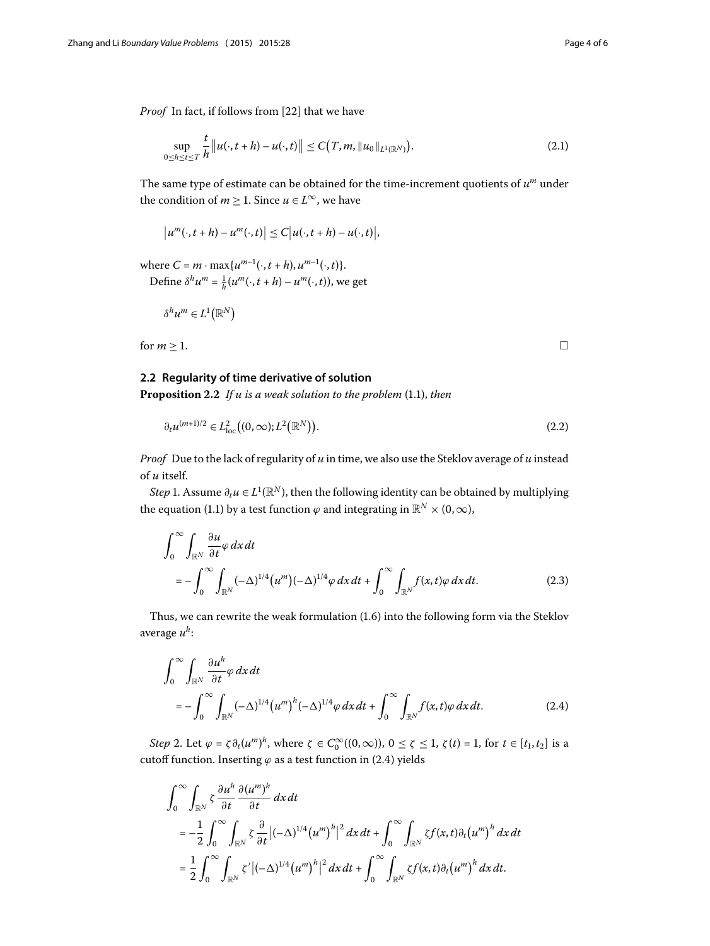<span id="page-3-1"></span><span id="page-3-0"></span> $\Box$ 

*Proof* In fact, if follows from [22] that we have

$$
\sup_{0 \le h \le t \le T} \frac{t}{h} ||u(\cdot, t + h) - u(\cdot, t)|| \le C(T, m, ||u_0||_{L^1(\mathbb{R}^N)}).
$$
\n(2.1)

The same type of estimate can be obtained for the time-increment quotients of *u<sup>m</sup>* under the condition of *m*  $\geq$  1. Since *u* ∈ *L*<sup>∞</sup>, we have

$$
\left|u^m(\cdot,t+h)-u^m(\cdot,t)\right|\leq C\big|u(\cdot,t+h)-u(\cdot,t)\big|,
$$

where  $C = m \cdot \max\{u^{m-1}(\cdot, t+h), u^{m-1}(\cdot, t)\}.$ Define  $\delta^h u^m = \frac{1}{h}(u^m(\cdot, t+h) - u^m(\cdot, t))$ , we get

$$
\delta^h u^m \in L^1(\mathbb{R}^N)
$$

for  $m \geq 1$ .

## **2.2 Regularity of time derivative of solution**

Proposition 2[.](#page-0-1)2 If u is a weak solution to the problem (1.1), then

$$
\partial_t u^{(m+1)/2} \in L^2_{loc}((0,\infty);L^2(\mathbb{R}^N)).
$$
\n(2.2)

*Proof* Due to the lack of regularity of *u* in time, we also use the Steklov average of *u* instead of *u* itself.

*Step* 1. Assume  $\partial_t u \in L^1(\mathbb{R}^N)$ , then the following identity can be obtained by multiplying the equation (1.1) by a test function  $\varphi$  and integrating in  $\mathbb{R}^N \times (0, \infty)$ ,

$$
\int_0^\infty \int_{\mathbb{R}^N} \frac{\partial u}{\partial t} \varphi \, dx \, dt
$$
\n
$$
= -\int_0^\infty \int_{\mathbb{R}^N} (-\Delta)^{1/4} (u^m) (-\Delta)^{1/4} \varphi \, dx \, dt + \int_0^\infty \int_{\mathbb{R}^N} f(x, t) \varphi \, dx \, dt. \tag{2.3}
$$

Thus, we can rewrite the weak formulation  $(1.6)$  into the following form via the Steklov average *uh*:

$$
\int_0^\infty \int_{\mathbb{R}^N} \frac{\partial u^h}{\partial t} \varphi \, dx \, dt
$$
\n
$$
= -\int_0^\infty \int_{\mathbb{R}^N} (-\Delta)^{1/4} (u^m)^h (-\Delta)^{1/4} \varphi \, dx \, dt + \int_0^\infty \int_{\mathbb{R}^N} f(x, t) \varphi \, dx \, dt. \tag{2.4}
$$

*Step* 2. Let  $\varphi = \zeta \partial_t (u^m)^h$ , where  $\zeta \in C_0^{\infty}((0,\infty))$ ,  $0 \le \zeta \le 1$ ,  $\zeta(t) = 1$ , for  $t \in [t_1, t_2]$  is a cutoff function. Inserting  $\varphi$  as a test function in (2.4) yields

$$
\int_0^\infty \int_{\mathbb{R}^N} \zeta \frac{\partial u^h}{\partial t} \frac{\partial (u^m)^h}{\partial t} dx dt
$$
  
=  $-\frac{1}{2} \int_0^\infty \int_{\mathbb{R}^N} \zeta \frac{\partial}{\partial t} |(-\Delta)^{1/4} (u^m)^h|^2 dx dt + \int_0^\infty \int_{\mathbb{R}^N} \zeta f(x,t) \partial_t (u^m)^h dx dt$   
=  $\frac{1}{2} \int_0^\infty \int_{\mathbb{R}^N} \zeta' |(-\Delta)^{1/4} (u^m)^h|^2 dx dt + \int_0^\infty \int_{\mathbb{R}^N} \zeta f(x,t) \partial_t (u^m)^h dx dt.$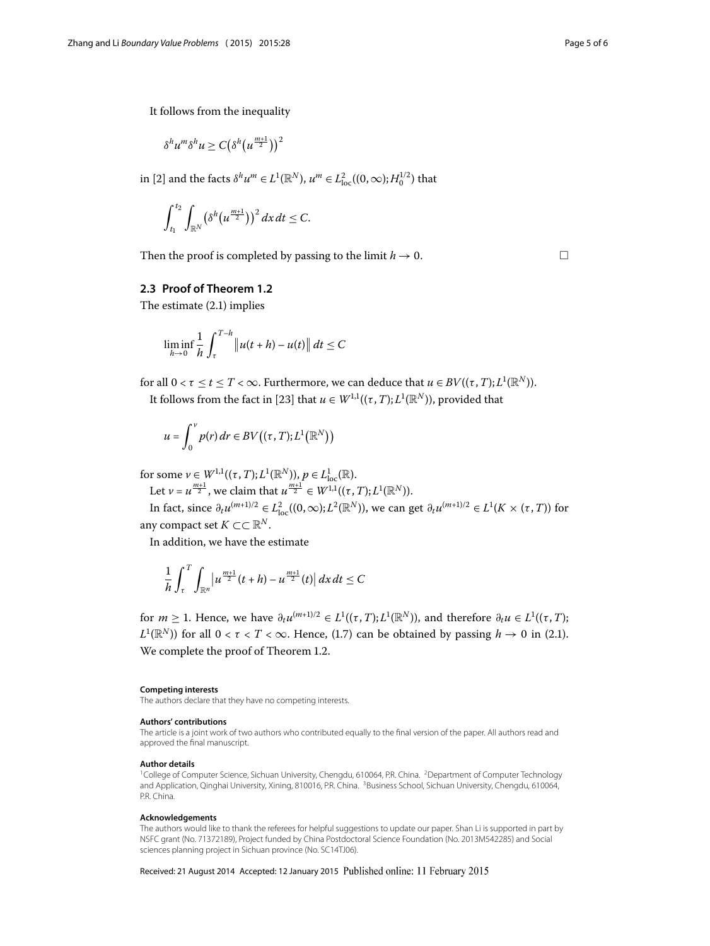It follows from the inequality

$$
\delta^h u^m \delta^h u \geq C \big( \delta^h \big( u^{\frac{m+1}{2}} \big) \big)^2
$$

in [\[](#page-5-1)2] and the facts  $\delta^h u^m \in L^1(\mathbb{R}^N)$ ,  $u^m \in L^2_{\text{loc}}((0,\infty);H_0^{1/2})$  that

$$
\int_{t_1}^{t_2}\int_{\mathbb{R}^N}\left(\delta^h(u^{\frac{m+1}{2}})\right)^2dx\,dt\leq C.
$$

Then the proof is completed by passing to the limit  $h \to 0$ .

#### **2.3 Proof of Theorem [1.2](#page-2-1)**

The estimate  $(2.1)$  $(2.1)$  $(2.1)$  implies

$$
\liminf_{h\to 0}\frac{1}{h}\int_{\tau}^{T-h} \left\|u(t+h)-u(t)\right\|dt \leq C
$$

for all  $0 < \tau \leq t \leq T < \infty$ . Furthermore, we can deduce that  $u \in BV((\tau,T);L^1(\mathbb{R}^N)).$ It follows from the fact in [\[](#page-5-17)23] that  $u \in W^{1,1}((\tau,T);L^1(\mathbb{R}^N))$ , provided that

$$
u = \int_0^v p(r) dr \in BV((\tau, T); L^1(\mathbb{R}^N))
$$

for some  $\nu \in W^{1,1}((\tau,T);L^1(\mathbb{R}^N)), p \in L^1_{loc}(\mathbb{R})$ .

Let  $\nu = u^{\frac{m+1}{2}}$ , we claim that  $u^{\frac{m+1}{2}} \in W^{1,1}((\tau, T); L^1(\mathbb{R}^N))$ .

In fact, since  $\partial_t u^{(m+1)/2} \in L^2_{loc}((0,\infty); L^2(\mathbb{R}^N))$ , we can get  $\partial_t u^{(m+1)/2} \in L^1(K \times (\tau,T))$  for any compact set  $K \subset \subset \mathbb{R}^N$ .

In addition, we have the estimate

<span id="page-4-1"></span>
$$
\frac{1}{h}\int_{\tau}^{T}\int_{\mathbb{R}^{n}}\left|u^{\frac{m+1}{2}}(t+h)-u^{\frac{m+1}{2}}(t)\right|dx\,dt\leq C
$$

for  $m \ge 1$ . Hence, we have  $\partial_t u^{(m+1)/2} \in L^1((\tau,T);L^1(\mathbb{R}^N))$ , and therefore  $\partial_t u \in L^1((\tau,T);$  $L^1(\mathbb{R}^N)$ ) for all  $0 < \tau < T < \infty$ . Hence, (1.7) can be obtained by passing  $h \to 0$  in (2.1). We complete the proof of Theorem 1.2.

#### <span id="page-4-2"></span><span id="page-4-0"></span>**Competing interests**

The authors declare that they have no competing interests.

#### **Authors' contributions**

The article is a joint work of two authors who contributed equally to the final version of the paper. All authors read and approved the final manuscript.

#### **Author details**

<sup>1</sup>College of Computer Science, Sichuan University, Chengdu, 610064, P.R. China. <sup>2</sup>Department of Computer Technology and Application, Qinghai University, Xining, 810016, P.R. China. <sup>3</sup>Business School, Sichuan University, Chengdu, 610064, P.R. China.

#### **Acknowledgements**

The authors would like to thank the referees for helpful suggestions to update our paper. Shan Li is supported in part by NSFC grant (No. 71372189), Project funded by China Postdoctoral Science Foundation (No. 2013M542285) and Social sciences planning project in Sichuan province (No. SC14TJ06).

Received: 21 August 2014 Accepted: 12 January 2015 Published online: 11 February 2015